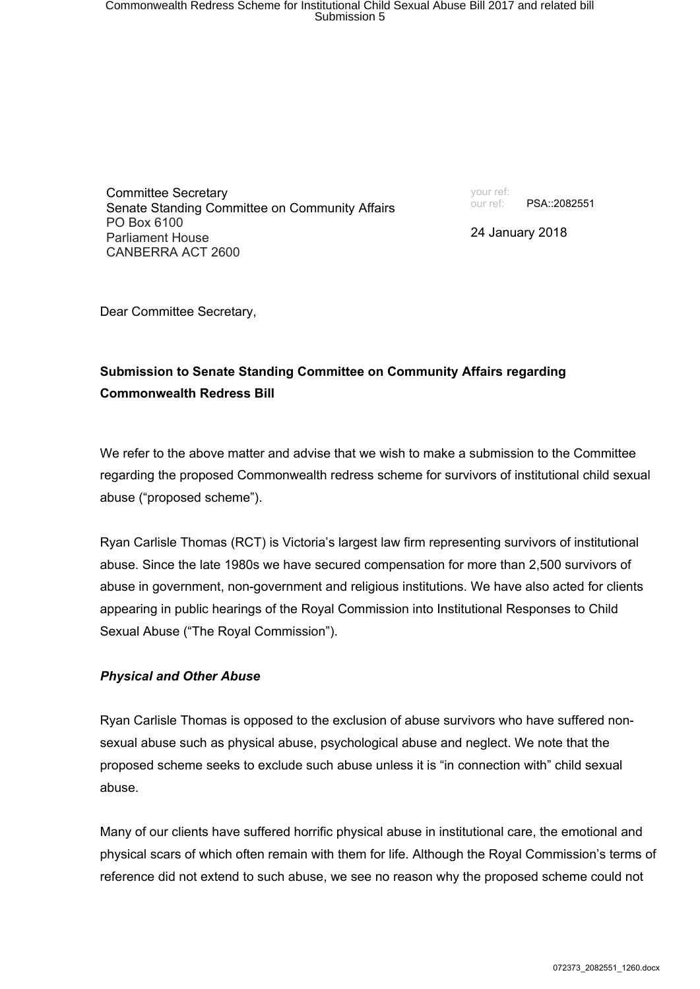Committee Secretary Senate Standing Committee on Community Affairs PO Box 6100 Parliament House CANBERRA ACT 2600

your ref: our ref: PSA::2082551

24 January 2018

Dear Committee Secretary,

## **Submission to Senate Standing Committee on Community Affairs regarding Commonwealth Redress Bill**

We refer to the above matter and advise that we wish to make a submission to the Committee regarding the proposed Commonwealth redress scheme for survivors of institutional child sexual abuse ("proposed scheme").

Ryan Carlisle Thomas (RCT) is Victoria's largest law firm representing survivors of institutional abuse. Since the late 1980s we have secured compensation for more than 2,500 survivors of abuse in government, non-government and religious institutions. We have also acted for clients appearing in public hearings of the Royal Commission into Institutional Responses to Child Sexual Abuse ("The Royal Commission").

### *Physical and Other Abuse*

Ryan Carlisle Thomas is opposed to the exclusion of abuse survivors who have suffered nonsexual abuse such as physical abuse, psychological abuse and neglect. We note that the proposed scheme seeks to exclude such abuse unless it is "in connection with" child sexual abuse.

Many of our clients have suffered horrific physical abuse in institutional care, the emotional and physical scars of which often remain with them for life. Although the Royal Commission's terms of reference did not extend to such abuse, we see no reason why the proposed scheme could not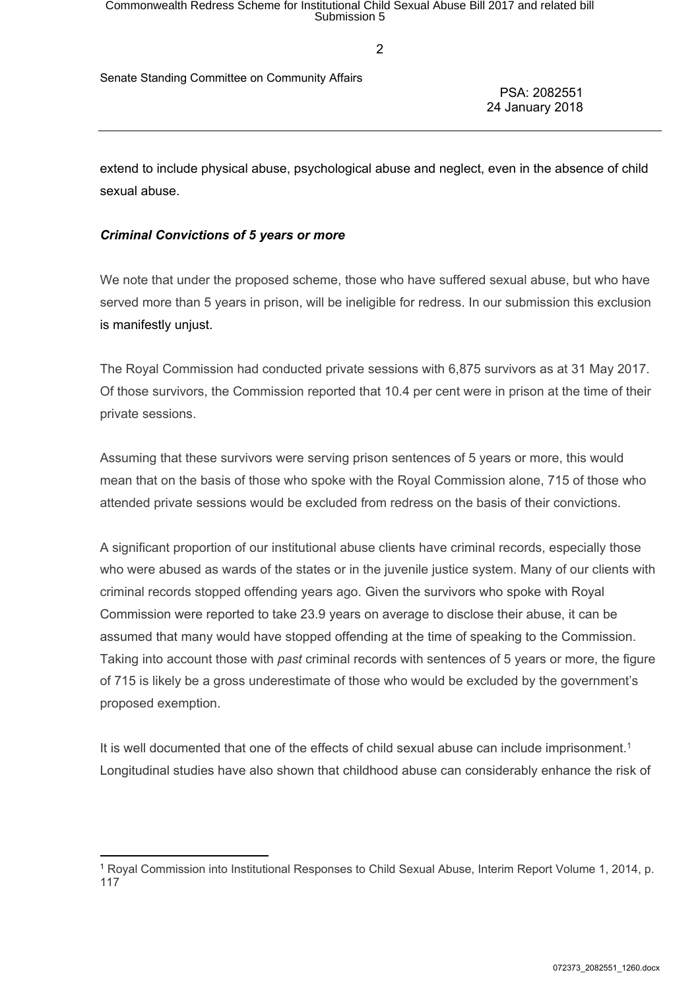$\mathfrak{p}$ 

Senate Standing Committee on Community Affairs

PSA: 2082551 24 January 2018

extend to include physical abuse, psychological abuse and neglect, even in the absence of child sexual abuse.

### *Criminal Convictions of 5 years or more*

We note that under the proposed scheme, those who have suffered sexual abuse, but who have served more than 5 years in prison, will be ineligible for redress. In our submission this exclusion is manifestly unjust.

The Royal Commission had conducted private sessions with 6,875 survivors as at 31 May 2017. Of those survivors, the Commission reported that 10.4 per cent were in prison at the time of their private sessions.

Assuming that these survivors were serving prison sentences of 5 years or more, this would mean that on the basis of those who spoke with the Royal Commission alone, 715 of those who attended private sessions would be excluded from redress on the basis of their convictions.

A significant proportion of our institutional abuse clients have criminal records, especially those who were abused as wards of the states or in the juvenile justice system. Many of our clients with criminal records stopped offending years ago. Given the survivors who spoke with Royal Commission were reported to take 23.9 years on average to disclose their abuse, it can be assumed that many would have stopped offending at the time of speaking to the Commission. Taking into account those with *past* criminal records with sentences of 5 years or more, the figure of 715 is likely be a gross underestimate of those who would be excluded by the government's proposed exemption.

It is well documented that one of the effects of child sexual abuse can include imprisonment.<sup>1</sup> Longitudinal studies have also shown that childhood abuse can considerably enhance the risk of

<sup>1</sup> Royal Commission into Institutional Responses to Child Sexual Abuse, Interim Report Volume 1, 2014, p. 117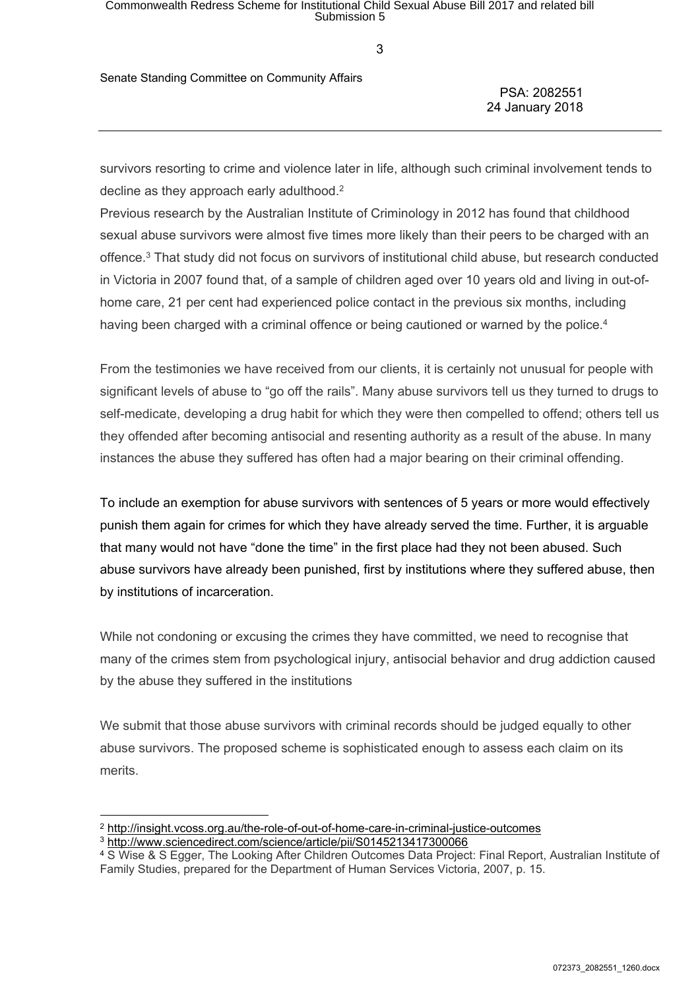Senate Standing Committee on Community Affairs

PSA: 2082551 24 January 2018

survivors resorting to crime and violence later in life, although such criminal involvement tends to decline as they approach early adulthood.<sup>2</sup>

Previous research by the Australian Institute of Criminology in 2012 has found that childhood sexual abuse survivors were almost five times more likely than their peers to be charged with an offence.<sup>3</sup> That study did not focus on survivors of institutional child abuse, but research conducted in Victoria in 2007 found that, of a sample of children aged over 10 years old and living in out-ofhome care, 21 per cent had experienced police contact in the previous six months, including having been charged with a criminal offence or being cautioned or warned by the police.<sup>4</sup>

From the testimonies we have received from our clients, it is certainly not unusual for people with significant levels of abuse to "go off the rails". Many abuse survivors tell us they turned to drugs to self-medicate, developing a drug habit for which they were then compelled to offend; others tell us they offended after becoming antisocial and resenting authority as a result of the abuse. In many instances the abuse they suffered has often had a major bearing on their criminal offending.

To include an exemption for abuse survivors with sentences of 5 years or more would effectively punish them again for crimes for which they have already served the time. Further, it is arguable that many would not have "done the time" in the first place had they not been abused. Such abuse survivors have already been punished, first by institutions where they suffered abuse, then by institutions of incarceration.

While not condoning or excusing the crimes they have committed, we need to recognise that many of the crimes stem from psychological injury, antisocial behavior and drug addiction caused by the abuse they suffered in the institutions

We submit that those abuse survivors with criminal records should be judged equally to other abuse survivors. The proposed scheme is sophisticated enough to assess each claim on its merits.

<sup>2</sup> <http://insight.vcoss.org.au/the-role-of-out-of-home-care-in-criminal-justice-outcomes>

<sup>3</sup> <http://www.sciencedirect.com/science/article/pii/S0145213417300066>

<sup>4</sup> S Wise & S Egger, The Looking After Children Outcomes Data Project: Final Report, Australian Institute of Family Studies, prepared for the Department of Human Services Victoria, 2007, p. 15.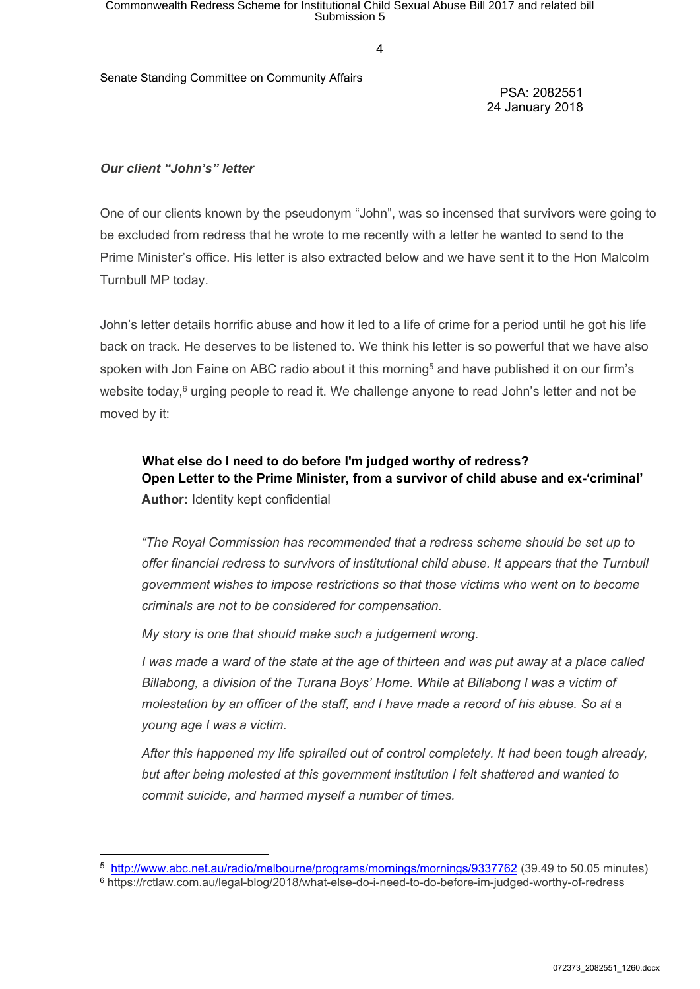# Commonwealth Redress Scheme for Institutional Child Sexual Abuse Bill 2017 and related bill<br>Submission 5

4

Senate Standing Committee on Community Affairs

PSA: 2082551 24 January 2018

#### *Our client "John's" letter*

One of our clients known by the pseudonym "John", was so incensed that survivors were going to be excluded from redress that he wrote to me recently with a letter he wanted to send to the Prime Minister's office. His letter is also extracted below and we have sent it to the Hon Malcolm Turnbull MP today.

John's letter details horrific abuse and how it led to a life of crime for a period until he got his life back on track. He deserves to be listened to. We think his letter is so powerful that we have also spoken with Jon Faine on ABC radio about it this morning<sup>5</sup> and have published it on our firm's website today,<sup>6</sup> urging people to read it. We challenge anyone to read John's letter and not be moved by it:

**What else do I need to do before I'm judged worthy of redress? Open Letter to the Prime Minister, from a survivor of child abuse and ex-'criminal' Author:** Identity kept confidential

*"The Royal Commission has recommended that a redress scheme should be set up to offer financial redress to survivors of institutional child abuse. It appears that the Turnbull government wishes to impose restrictions so that those victims who went on to become criminals are not to be considered for compensation.*

*My story is one that should make such a judgement wrong.*

I was made a ward of the state at the age of thirteen and was put away at a place called *Billabong, a division of the Turana Boys' Home. While at Billabong I was a victim of molestation by an officer of the staff, and I have made a record of his abuse. So at a young age I was a victim.*

*After this happened my life spiralled out of control completely. It had been tough already, but after being molested at this government institution I felt shattered and wanted to commit suicide, and harmed myself a number of times.*

<sup>5</sup> <http://www.abc.net.au/radio/melbourne/programs/mornings/mornings/9337762> (39.49 to 50.05 minutes)

<sup>6</sup> https://rctlaw.com.au/legal-blog/2018/what-else-do-i-need-to-do-before-im-judged-worthy-of-redress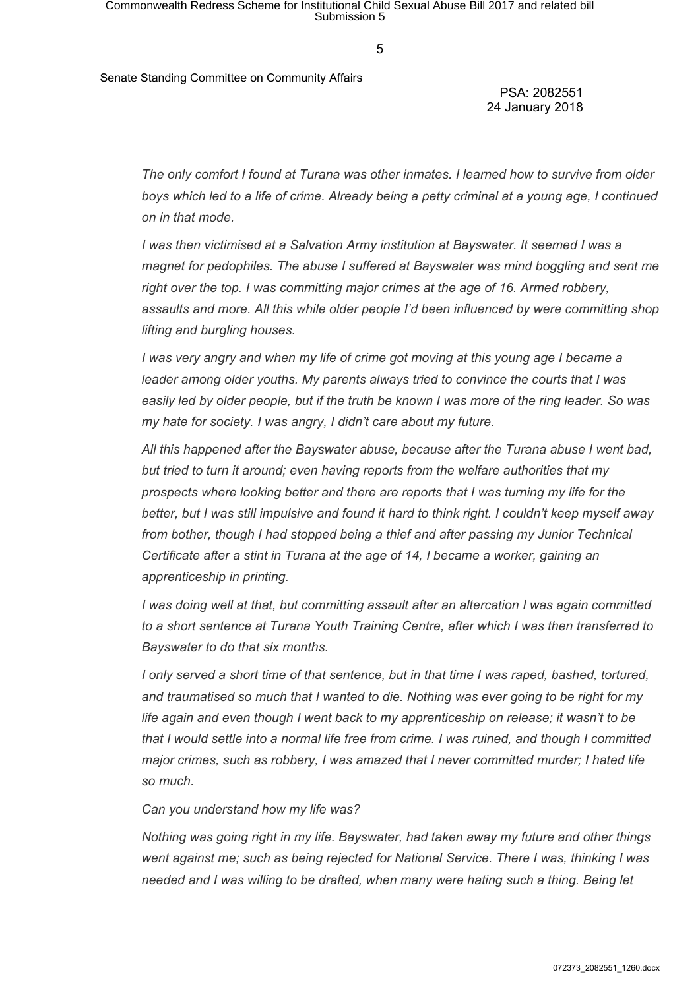Senate Standing Committee on Community Affairs

PSA: 2082551 24 January 2018

*The only comfort I found at Turana was other inmates. I learned how to survive from older* boys which led to a life of crime. Already being a petty criminal at a young age, I continued *on in that mode.*

*I was then victimised at a Salvation Army institution at Bayswater. It seemed I was a magnet for pedophiles. The abuse I suffered at Bayswater was mind boggling and sent me right over the top. I was committing major crimes at the age of 16. Armed robbery, assaults and more. All this while older people I'd been influenced by were committing shop lifting and burgling houses.*

*I was very angry and when my life of crime got moving at this young age I became a leader among older youths. My parents always tried to convince the courts that I was* easily led by older people, but if the truth be known I was more of the ring leader. So was *my hate for society. I was angry, I didn't care about my future.*

*All this happened after the Bayswater abuse, because after the Turana abuse I went bad, but tried to turn it around; even having reports from the welfare authorities that my prospects where looking better and there are reports that I was turning my life for the better, but I was still impulsive and found it hard to think right. I couldn't keep myself away from bother, though I had stopped being a thief and after passing my Junior Technical Certificate after a stint in Turana at the age of 14, I became a worker, gaining an apprenticeship in printing.*

*I was doing well at that, but committing assault after an altercation I was again committed to a short sentence at Turana Youth Training Centre, after which I was then transferred to Bayswater to do that six months.*

*I only served a short time of that sentence, but in that time I was raped, bashed, tortured, and traumatised so much that I wanted to die. Nothing was ever going to be right for my life again and even though I went back to my apprenticeship on release; it wasn't to be that I would settle into a normal life free from crime. I was ruined, and though I committed major crimes, such as robbery, I was amazed that I never committed murder; I hated life so much.*

*Can you understand how my life was?*

*Nothing was going right in my life. Bayswater, had taken away my future and other things went against me; such as being rejected for National Service. There I was, thinking I was needed and I was willing to be drafted, when many were hating such a thing. Being let*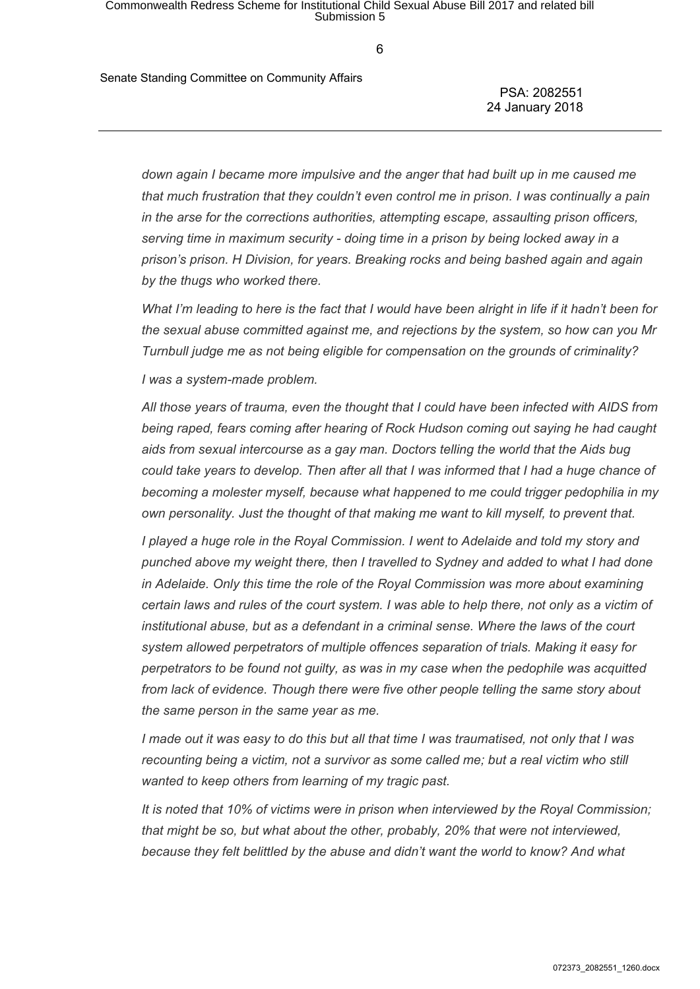Senate Standing Committee on Community Affairs

PSA: 2082551 24 January 2018

*down again I became more impulsive and the anger that had built up in me caused me that much frustration that they couldn't even control me in prison. I was continually a pain in the arse for the corrections authorities, attempting escape, assaulting prison officers, serving time in maximum security - doing time in a prison by being locked away in a prison's prison. H Division, for years. Breaking rocks and being bashed again and again by the thugs who worked there.*

What I'm leading to here is the fact that I would have been alright in life if it hadn't been for *the sexual abuse committed against me, and rejections by the system, so how can you Mr Turnbull judge me as not being eligible for compensation on the grounds of criminality?*

*I was a system-made problem.*

*All those years of trauma, even the thought that I could have been infected with AIDS from being raped, fears coming after hearing of Rock Hudson coming out saying he had caught aids from sexual intercourse as a gay man. Doctors telling the world that the Aids bug could take years to develop. Then after all that I was informed that I had a huge chance of becoming a molester myself, because what happened to me could trigger pedophilia in my own personality. Just the thought of that making me want to kill myself, to prevent that.*

*I played a huge role in the Royal Commission. I went to Adelaide and told my story and punched above my weight there, then I travelled to Sydney and added to what I had done in Adelaide. Only this time the role of the Royal Commission was more about examining* certain laws and rules of the court system. I was able to help there, not only as a victim of *institutional abuse, but as a defendant in a criminal sense. Where the laws of the court system allowed perpetrators of multiple offences separation of trials. Making it easy for perpetrators to be found not guilty, as was in my case when the pedophile was acquitted from lack of evidence. Though there were five other people telling the same story about the same person in the same year as me.*

I made out it was easy to do this but all that time I was traumatised, not only that I was *recounting being a victim, not a survivor as some called me; but a real victim who still wanted to keep others from learning of my tragic past.*

*It is noted that 10% of victims were in prison when interviewed by the Royal Commission; that might be so, but what about the other, probably, 20% that were not interviewed, because they felt belittled by the abuse and didn't want the world to know? And what*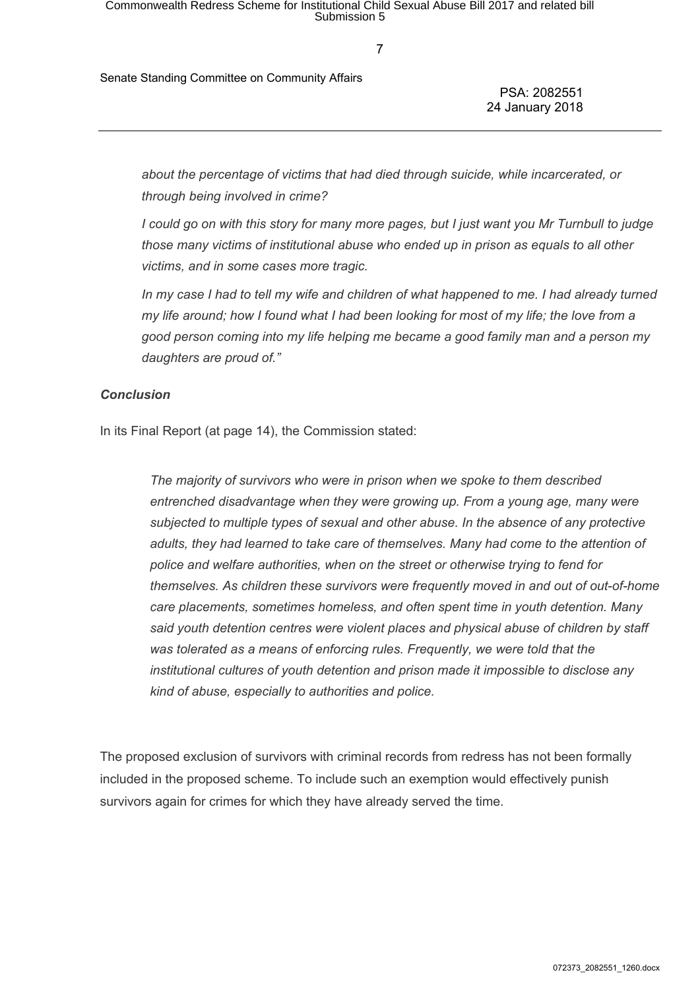Senate Standing Committee on Community Affairs

PSA: 2082551 24 January 2018

*about the percentage of victims that had died through suicide, while incarcerated, or through being involved in crime?*

I could go on with this story for many more pages, but I just want you Mr Turnbull to judge *those many victims of institutional abuse who ended up in prison as equals to all other victims, and in some cases more tragic.*

In my case I had to tell my wife and children of what happened to me. I had already turned my life around; how I found what I had been looking for most of my life; the love from a *good person coming into my life helping me became a good family man and a person my daughters are proud of."*

#### *Conclusion*

In its Final Report (at page 14), the Commission stated:

*The majority of survivors who were in prison when we spoke to them described entrenched disadvantage when they were growing up. From a young age, many were subjected to multiple types of sexual and other abuse. In the absence of any protective adults, they had learned to take care of themselves. Many had come to the attention of police and welfare authorities, when on the street or otherwise trying to fend for themselves. As children these survivors were frequently moved in and out of out-of-home care placements, sometimes homeless, and often spent time in youth detention. Many said youth detention centres were violent places and physical abuse of children by staff was tolerated as a means of enforcing rules. Frequently, we were told that the institutional cultures of youth detention and prison made it impossible to disclose any kind of abuse, especially to authorities and police.*

The proposed exclusion of survivors with criminal records from redress has not been formally included in the proposed scheme. To include such an exemption would effectively punish survivors again for crimes for which they have already served the time.